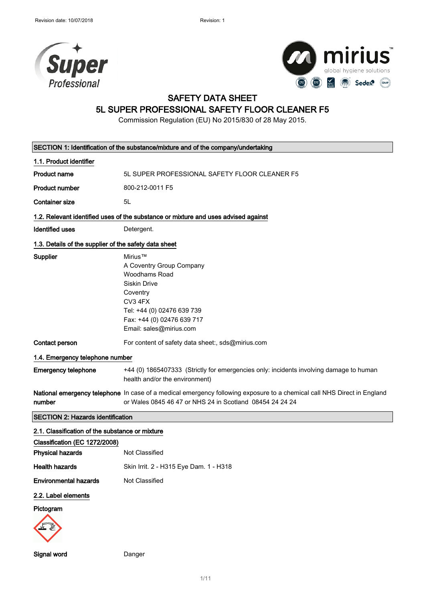



# SAFETY DATA SHEET

# 5L SUPER PROFESSIONAL SAFETY FLOOR CLEANER F5

Commission Regulation (EU) No 2015/830 of 28 May 2015.

| SECTION 1: Identification of the substance/mixture and of the company/undertaking |                                                                                                                                                                                           |  |
|-----------------------------------------------------------------------------------|-------------------------------------------------------------------------------------------------------------------------------------------------------------------------------------------|--|
| 1.1. Product identifier                                                           |                                                                                                                                                                                           |  |
| <b>Product name</b>                                                               | 5L SUPER PROFESSIONAL SAFETY FLOOR CLEANER F5                                                                                                                                             |  |
| <b>Product number</b>                                                             | 800-212-0011 F5                                                                                                                                                                           |  |
| <b>Container size</b>                                                             | 5L                                                                                                                                                                                        |  |
|                                                                                   | 1.2. Relevant identified uses of the substance or mixture and uses advised against                                                                                                        |  |
| <b>Identified uses</b>                                                            | Detergent.                                                                                                                                                                                |  |
| 1.3. Details of the supplier of the safety data sheet                             |                                                                                                                                                                                           |  |
| Supplier                                                                          | Mirius™<br>A Coventry Group Company<br>Woodhams Road<br><b>Siskin Drive</b><br>Coventry<br>CV3 4FX<br>Tel: +44 (0) 02476 639 739<br>Fax: +44 (0) 02476 639 717<br>Email: sales@mirius.com |  |
| Contact person                                                                    | For content of safety data sheet:, sds@mirius.com                                                                                                                                         |  |
| 1.4. Emergency telephone number                                                   |                                                                                                                                                                                           |  |
| <b>Emergency telephone</b>                                                        | +44 (0) 1865407333 (Strictly for emergencies only: incidents involving damage to human<br>health and/or the environment)                                                                  |  |
| number                                                                            | National emergency telephone In case of a medical emergency following exposure to a chemical call NHS Direct in England<br>or Wales 0845 46 47 or NHS 24 in Scotland 08454 24 24 24       |  |
| <b>SECTION 2: Hazards identification</b>                                          |                                                                                                                                                                                           |  |
| 2.1. Classification of the substance or mixture                                   |                                                                                                                                                                                           |  |
| Classification (EC 1272/2008)                                                     |                                                                                                                                                                                           |  |
| <b>Physical hazards</b>                                                           | Not Classified                                                                                                                                                                            |  |
| <b>Health hazards</b>                                                             | Skin Irrit. 2 - H315 Eye Dam. 1 - H318                                                                                                                                                    |  |
| <b>Environmental hazards</b>                                                      | Not Classified                                                                                                                                                                            |  |
| 2.2. Label elements<br>Pictogram                                                  |                                                                                                                                                                                           |  |

Signal word Danger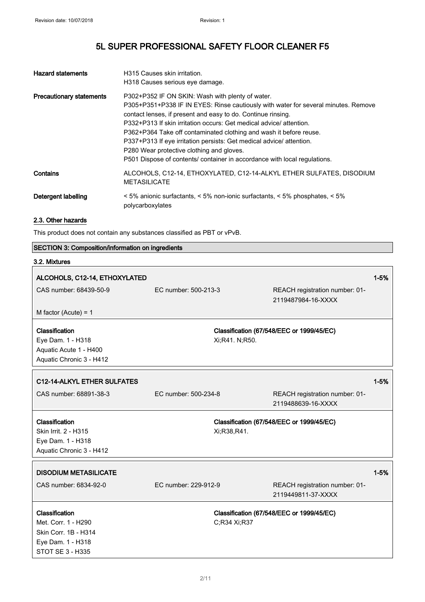| <b>Hazard statements</b>        | H315 Causes skin irritation.                                                                                                                                                                                                                                                                                                                                                                                                                                                                                                                         |
|---------------------------------|------------------------------------------------------------------------------------------------------------------------------------------------------------------------------------------------------------------------------------------------------------------------------------------------------------------------------------------------------------------------------------------------------------------------------------------------------------------------------------------------------------------------------------------------------|
|                                 | H318 Causes serious eye damage.                                                                                                                                                                                                                                                                                                                                                                                                                                                                                                                      |
| <b>Precautionary statements</b> | P302+P352 IF ON SKIN: Wash with plenty of water.<br>P305+P351+P338 IF IN EYES: Rinse cautiously with water for several minutes. Remove<br>contact lenses, if present and easy to do. Continue rinsing.<br>P332+P313 If skin irritation occurs: Get medical advice/attention.<br>P362+P364 Take off contaminated clothing and wash it before reuse.<br>P337+P313 If eye irritation persists: Get medical advice/ attention.<br>P280 Wear protective clothing and gloves.<br>P501 Dispose of contents/ container in accordance with local regulations. |
| Contains                        | ALCOHOLS, C12-14, ETHOXYLATED, C12-14-ALKYL ETHER SULFATES, DISODIUM<br><b>METASILICATE</b>                                                                                                                                                                                                                                                                                                                                                                                                                                                          |
| Detergent labelling             | $\leq$ 5% anionic surfactants, $\leq$ 5% non-ionic surfactants, $\leq$ 5% phosphates, $\leq$ 5%<br>polycarboxylates                                                                                                                                                                                                                                                                                                                                                                                                                                  |

### 2.3. Other hazards

This product does not contain any substances classified as PBT or vPvB.

| <b>SECTION 3: Composition/information on ingredients</b>                                               |                      |                                                      |          |
|--------------------------------------------------------------------------------------------------------|----------------------|------------------------------------------------------|----------|
| 3.2. Mixtures                                                                                          |                      |                                                      |          |
| ALCOHOLS, C12-14, ETHOXYLATED                                                                          |                      |                                                      | $1 - 5%$ |
| CAS number: 68439-50-9                                                                                 | EC number: 500-213-3 | REACH registration number: 01-<br>2119487984-16-XXXX |          |
| M factor (Acute) = $1$                                                                                 |                      |                                                      |          |
| Classification<br>Eye Dam. 1 - H318<br>Aquatic Acute 1 - H400<br>Aquatic Chronic 3 - H412              | Xi;R41. N;R50.       | Classification (67/548/EEC or 1999/45/EC)            |          |
| C12-14-ALKYL ETHER SULFATES                                                                            |                      |                                                      | $1 - 5%$ |
| CAS number: 68891-38-3                                                                                 | EC number: 500-234-8 | REACH registration number: 01-<br>2119488639-16-XXXX |          |
| Classification<br>Skin Irrit. 2 - H315<br>Eye Dam. 1 - H318<br>Aquatic Chronic 3 - H412                | Xi;R38,R41.          | Classification (67/548/EEC or 1999/45/EC)            |          |
| <b>DISODIUM METASILICATE</b><br>CAS number: 6834-92-0                                                  | EC number: 229-912-9 | REACH registration number: 01-                       | $1 - 5%$ |
|                                                                                                        |                      | 2119449811-37-XXXX                                   |          |
| Classification<br>Met. Corr. 1 - H290<br>Skin Corr. 1B - H314<br>Eye Dam. 1 - H318<br>STOT SE 3 - H335 | C;R34 Xi;R37         | Classification (67/548/EEC or 1999/45/EC)            |          |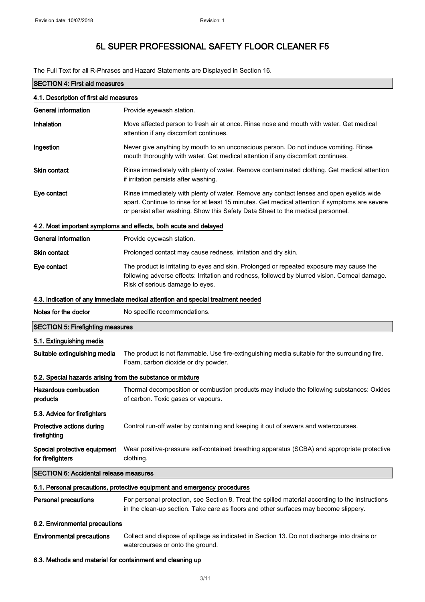The Full Text for all R-Phrases and Hazard Statements are Displayed in Section 16.

| <b>SECTION 4: First aid measures</b>                                     |                                                                                                                                                                                                                                                                              |  |  |
|--------------------------------------------------------------------------|------------------------------------------------------------------------------------------------------------------------------------------------------------------------------------------------------------------------------------------------------------------------------|--|--|
| 4.1. Description of first aid measures                                   |                                                                                                                                                                                                                                                                              |  |  |
| <b>General information</b>                                               | Provide eyewash station.                                                                                                                                                                                                                                                     |  |  |
| Inhalation                                                               | Move affected person to fresh air at once. Rinse nose and mouth with water. Get medical<br>attention if any discomfort continues.                                                                                                                                            |  |  |
| Ingestion                                                                | Never give anything by mouth to an unconscious person. Do not induce vomiting. Rinse<br>mouth thoroughly with water. Get medical attention if any discomfort continues.                                                                                                      |  |  |
| <b>Skin contact</b>                                                      | Rinse immediately with plenty of water. Remove contaminated clothing. Get medical attention<br>if irritation persists after washing.                                                                                                                                         |  |  |
| Eye contact                                                              | Rinse immediately with plenty of water. Remove any contact lenses and open eyelids wide<br>apart. Continue to rinse for at least 15 minutes. Get medical attention if symptoms are severe<br>or persist after washing. Show this Safety Data Sheet to the medical personnel. |  |  |
|                                                                          | 4.2. Most important symptoms and effects, both acute and delayed                                                                                                                                                                                                             |  |  |
| <b>General information</b>                                               | Provide eyewash station.                                                                                                                                                                                                                                                     |  |  |
| Skin contact                                                             | Prolonged contact may cause redness, irritation and dry skin.                                                                                                                                                                                                                |  |  |
| Eye contact                                                              | The product is irritating to eyes and skin. Prolonged or repeated exposure may cause the<br>following adverse effects: Irritation and redness, followed by blurred vision. Corneal damage.<br>Risk of serious damage to eyes.                                                |  |  |
|                                                                          | 4.3. Indication of any immediate medical attention and special treatment needed                                                                                                                                                                                              |  |  |
| Notes for the doctor                                                     | No specific recommendations.                                                                                                                                                                                                                                                 |  |  |
| <b>SECTION 5: Firefighting measures</b>                                  |                                                                                                                                                                                                                                                                              |  |  |
| 5.1. Extinguishing media                                                 |                                                                                                                                                                                                                                                                              |  |  |
| Suitable extinguishing media                                             | The product is not flammable. Use fire-extinguishing media suitable for the surrounding fire.<br>Foam, carbon dioxide or dry powder.                                                                                                                                         |  |  |
| 5.2. Special hazards arising from the substance or mixture               |                                                                                                                                                                                                                                                                              |  |  |
| <b>Hazardous combustion</b><br>products                                  | Thermal decomposition or combustion products may include the following substances: Oxides<br>of carbon. Toxic gases or vapours.                                                                                                                                              |  |  |
| 5.3. Advice for firefighters                                             |                                                                                                                                                                                                                                                                              |  |  |
| Protective actions during<br>firefighting                                | Control run-off water by containing and keeping it out of sewers and watercourses.                                                                                                                                                                                           |  |  |
| Special protective equipment<br>for firefighters                         | Wear positive-pressure self-contained breathing apparatus (SCBA) and appropriate protective<br>clothing.                                                                                                                                                                     |  |  |
| <b>SECTION 6: Accidental release measures</b>                            |                                                                                                                                                                                                                                                                              |  |  |
| 6.1. Personal precautions, protective equipment and emergency procedures |                                                                                                                                                                                                                                                                              |  |  |
| <b>Personal precautions</b>                                              | For personal protection, see Section 8. Treat the spilled material according to the instructions<br>in the clean-up section. Take care as floors and other surfaces may become slippery.                                                                                     |  |  |
| 6.2. Environmental precautions                                           |                                                                                                                                                                                                                                                                              |  |  |
| <b>Environmental precautions</b>                                         | Collect and dispose of spillage as indicated in Section 13. Do not discharge into drains or<br>watercourses or onto the ground.                                                                                                                                              |  |  |
| 6.3. Methods and material for containment and cleaning up                |                                                                                                                                                                                                                                                                              |  |  |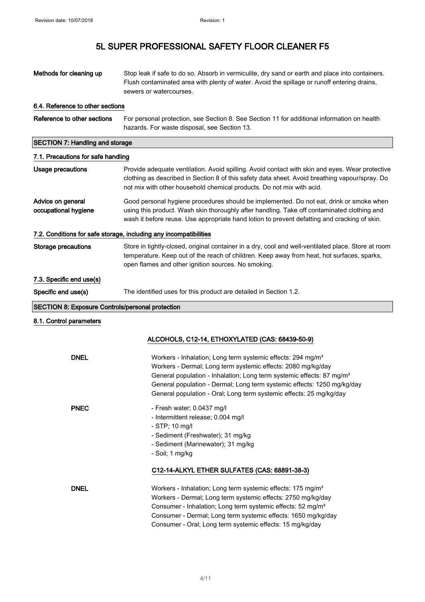| Methods for cleaning up                                 | Stop leak if safe to do so. Absorb in vermiculite, dry sand or earth and place into containers.<br>Flush contaminated area with plenty of water. Avoid the spillage or runoff entering drains,<br>sewers or watercourses.                                                                                                                                                      |  |  |
|---------------------------------------------------------|--------------------------------------------------------------------------------------------------------------------------------------------------------------------------------------------------------------------------------------------------------------------------------------------------------------------------------------------------------------------------------|--|--|
| 6.4. Reference to other sections                        |                                                                                                                                                                                                                                                                                                                                                                                |  |  |
| Reference to other sections                             | For personal protection, see Section 8. See Section 11 for additional information on health<br>hazards. For waste disposal, see Section 13.                                                                                                                                                                                                                                    |  |  |
| <b>SECTION 7: Handling and storage</b>                  |                                                                                                                                                                                                                                                                                                                                                                                |  |  |
| 7.1. Precautions for safe handling                      |                                                                                                                                                                                                                                                                                                                                                                                |  |  |
| <b>Usage precautions</b>                                | Provide adequate ventilation. Avoid spilling. Avoid contact with skin and eyes. Wear protective<br>clothing as described in Section 8 of this safety data sheet. Avoid breathing vapour/spray. Do<br>not mix with other household chemical products. Do not mix with acid.                                                                                                     |  |  |
| Advice on general<br>occupational hygiene               | Good personal hygiene procedures should be implemented. Do not eat, drink or smoke when<br>using this product. Wash skin thoroughly after handling. Take off contaminated clothing and<br>wash it before reuse. Use appropriate hand lotion to prevent defatting and cracking of skin.                                                                                         |  |  |
|                                                         | 7.2. Conditions for safe storage, including any incompatibilities                                                                                                                                                                                                                                                                                                              |  |  |
| Storage precautions                                     | Store in tightly-closed, original container in a dry, cool and well-ventilated place. Store at room<br>temperature. Keep out of the reach of children. Keep away from heat, hot surfaces, sparks,<br>open flames and other ignition sources. No smoking.                                                                                                                       |  |  |
| 7.3. Specific end use(s)                                |                                                                                                                                                                                                                                                                                                                                                                                |  |  |
| Specific end use(s)                                     | The identified uses for this product are detailed in Section 1.2.                                                                                                                                                                                                                                                                                                              |  |  |
| <b>SECTION 8: Exposure Controls/personal protection</b> |                                                                                                                                                                                                                                                                                                                                                                                |  |  |
| 8.1. Control parameters                                 |                                                                                                                                                                                                                                                                                                                                                                                |  |  |
|                                                         | ALCOHOLS, C12-14, ETHOXYLATED (CAS: 68439-50-9)                                                                                                                                                                                                                                                                                                                                |  |  |
| <b>DNEL</b>                                             | Workers - Inhalation; Long term systemic effects: 294 mg/m <sup>3</sup><br>Workers - Dermal; Long term systemic effects: 2080 mg/kg/day<br>General population - Inhalation; Long term systemic effects: 87 mg/m <sup>3</sup><br>General population - Dermal; Long term systemic effects: 1250 mg/kg/day<br>General population - Oral; Long term systemic effects: 25 mg/kg/day |  |  |
| <b>PNEC</b>                                             | - Fresh water; 0.0437 mg/l<br>- Intermittent release; 0.004 mg/l<br>- STP; 10 mg/l<br>- Sediment (Freshwater); 31 mg/kg<br>- Sediment (Marinewater); 31 mg/kg<br>- Soil; 1 mg/kg                                                                                                                                                                                               |  |  |
|                                                         | C12-14-ALKYL ETHER SULFATES (CAS: 68891-38-3)                                                                                                                                                                                                                                                                                                                                  |  |  |
| <b>DNEL</b>                                             | Workers - Inhalation; Long term systemic effects: 175 mg/m <sup>3</sup><br>Workers - Dermal; Long term systemic effects: 2750 mg/kg/day<br>Consumer - Inhalation; Long term systemic effects: 52 mg/m <sup>3</sup><br>Consumer - Dermal; Long term systemic effects: 1650 mg/kg/day<br>Consumer - Oral; Long term systemic effects: 15 mg/kg/day                               |  |  |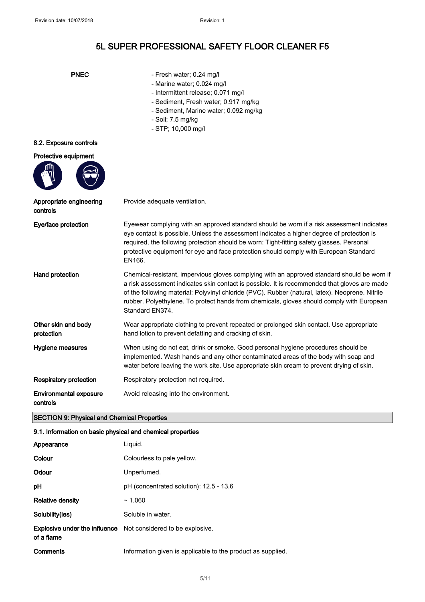| I |
|---|
|---|

- Fresh water; 0.24 mg/l
- Marine water; 0.024 mg/l
- Intermittent release; 0.071 mg/l
- Sediment, Fresh water; 0.917 mg/kg
- Sediment, Marine water; 0.092 mg/kg
- Soil; 7.5 mg/kg
- STP; 10,000 mg/l

### 8.2. Exposure controls



| Appropriate engineering<br>controls | Provide adequate ventilation.                                                                                                                                                                                                                                                                                                                                                                                  |
|-------------------------------------|----------------------------------------------------------------------------------------------------------------------------------------------------------------------------------------------------------------------------------------------------------------------------------------------------------------------------------------------------------------------------------------------------------------|
| Eye/face protection                 | Eyewear complying with an approved standard should be worn if a risk assessment indicates<br>eye contact is possible. Unless the assessment indicates a higher degree of protection is<br>required, the following protection should be worn: Tight-fitting safety glasses. Personal<br>protective equipment for eye and face protection should comply with European Standard<br>EN166.                         |
| Hand protection                     | Chemical-resistant, impervious gloves complying with an approved standard should be worn if<br>a risk assessment indicates skin contact is possible. It is recommended that gloves are made<br>of the following material: Polyvinyl chloride (PVC). Rubber (natural, latex). Neoprene. Nitrile<br>rubber. Polyethylene. To protect hands from chemicals, gloves should comply with European<br>Standard EN374. |
| Other skin and body<br>protection   | Wear appropriate clothing to prevent repeated or prolonged skin contact. Use appropriate<br>hand lotion to prevent defatting and cracking of skin.                                                                                                                                                                                                                                                             |
| Hygiene measures                    | When using do not eat, drink or smoke. Good personal hygiene procedures should be<br>implemented. Wash hands and any other contaminated areas of the body with soap and<br>water before leaving the work site. Use appropriate skin cream to prevent drying of skin.                                                                                                                                           |

Respiratory protection Respiratory protection not required.

Environmental exposure Avoid releasing into the environment.

# controls

### SECTION 9: Physical and Chemical Properties

### 9.1. Information on basic physical and chemical properties

| Appearance              | Liguid.                                                              |
|-------------------------|----------------------------------------------------------------------|
| Colour                  | Colourless to pale yellow.                                           |
| Odour                   | Unperfumed.                                                          |
| pH                      | $pH$ (concentrated solution): 12.5 - 13.6                            |
| <b>Relative density</b> | ~1.060                                                               |
| Solubility(ies)         | Soluble in water.                                                    |
| of a flame              | <b>Explosive under the influence</b> Not considered to be explosive. |
| Comments                | Information given is applicable to the product as supplied.          |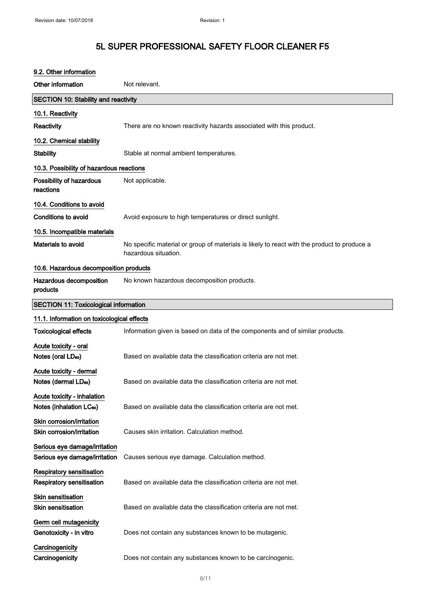| 9.2. Other information                                              |                                                                                                                     |
|---------------------------------------------------------------------|---------------------------------------------------------------------------------------------------------------------|
| Other information                                                   | Not relevant.                                                                                                       |
| <b>SECTION 10: Stability and reactivity</b>                         |                                                                                                                     |
| 10.1. Reactivity                                                    |                                                                                                                     |
| Reactivity                                                          | There are no known reactivity hazards associated with this product.                                                 |
| 10.2. Chemical stability                                            |                                                                                                                     |
| <b>Stability</b>                                                    | Stable at normal ambient temperatures.                                                                              |
| 10.3. Possibility of hazardous reactions                            |                                                                                                                     |
| Possibility of hazardous<br>reactions                               | Not applicable.                                                                                                     |
| 10.4. Conditions to avoid                                           |                                                                                                                     |
| <b>Conditions to avoid</b>                                          | Avoid exposure to high temperatures or direct sunlight.                                                             |
| 10.5. Incompatible materials                                        |                                                                                                                     |
| Materials to avoid                                                  | No specific material or group of materials is likely to react with the product to produce a<br>hazardous situation. |
| 10.6. Hazardous decomposition products                              |                                                                                                                     |
| Hazardous decomposition<br>products                                 | No known hazardous decomposition products.                                                                          |
| <b>SECTION 11: Toxicological information</b>                        |                                                                                                                     |
| 11.1. Information on toxicological effects                          |                                                                                                                     |
| <b>Toxicological effects</b>                                        | Information given is based on data of the components and of similar products.                                       |
| Acute toxicity - oral<br>Notes (oral LD <sub>50</sub> )             | Based on available data the classification criteria are not met.                                                    |
| Acute toxicity - dermal<br>Notes (dermal LDso)                      | Based on available data the classification criteria are not met.                                                    |
| Acute toxicity - inhalation<br>Notes (inhalation LC <sub>50</sub> ) | Based on available data the classification criteria are not met.                                                    |
| Skin corrosion/irritation<br>Skin corrosion/irritation              | Causes skin irritation. Calculation method.                                                                         |
| Serious eye damage/irritation<br>Serious eye damage/irritation      | Causes serious eye damage. Calculation method.                                                                      |
| Respiratory sensitisation<br><b>Respiratory sensitisation</b>       | Based on available data the classification criteria are not met.                                                    |
| <b>Skin sensitisation</b><br><b>Skin sensitisation</b>              | Based on available data the classification criteria are not met.                                                    |
| Germ cell mutagenicity<br>Genotoxicity - in vitro                   | Does not contain any substances known to be mutagenic.                                                              |
| Carcinogenicity<br>Carcinogenicity                                  | Does not contain any substances known to be carcinogenic.                                                           |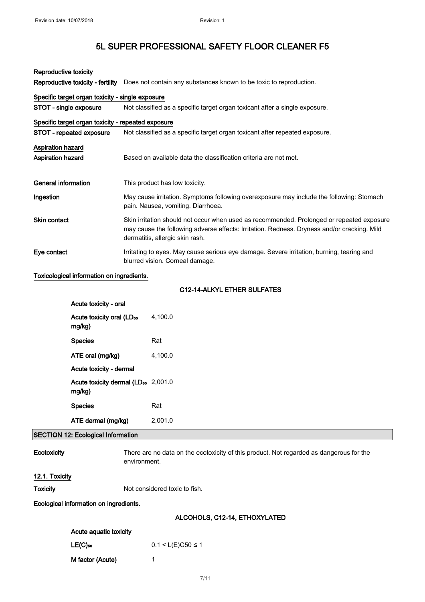| Reproductive toxicity                     |                                                                                                       |                                                                                                                                                                                                                             |  |  |
|-------------------------------------------|-------------------------------------------------------------------------------------------------------|-----------------------------------------------------------------------------------------------------------------------------------------------------------------------------------------------------------------------------|--|--|
|                                           | Reproductive toxicity - fertility                                                                     | Does not contain any substances known to be toxic to reproduction.                                                                                                                                                          |  |  |
|                                           | Specific target organ toxicity - single exposure                                                      |                                                                                                                                                                                                                             |  |  |
|                                           | STOT - single exposure<br>Not classified as a specific target organ toxicant after a single exposure. |                                                                                                                                                                                                                             |  |  |
|                                           | Specific target organ toxicity - repeated exposure                                                    |                                                                                                                                                                                                                             |  |  |
|                                           | STOT - repeated exposure                                                                              | Not classified as a specific target organ toxicant after repeated exposure.                                                                                                                                                 |  |  |
| Aspiration hazard                         |                                                                                                       |                                                                                                                                                                                                                             |  |  |
| Aspiration hazard                         |                                                                                                       | Based on available data the classification criteria are not met.                                                                                                                                                            |  |  |
| <b>General information</b>                |                                                                                                       | This product has low toxicity.                                                                                                                                                                                              |  |  |
| Ingestion                                 |                                                                                                       | May cause irritation. Symptoms following overexposure may include the following: Stomach<br>pain. Nausea, vomiting. Diarrhoea.                                                                                              |  |  |
| <b>Skin contact</b>                       |                                                                                                       | Skin irritation should not occur when used as recommended. Prolonged or repeated exposure<br>may cause the following adverse effects: Irritation. Redness. Dryness and/or cracking. Mild<br>dermatitis, allergic skin rash. |  |  |
| Eye contact                               |                                                                                                       | Irritating to eyes. May cause serious eye damage. Severe irritation, burning, tearing and<br>blurred vision. Corneal damage.                                                                                                |  |  |
|                                           | Toxicological information on ingredients.                                                             |                                                                                                                                                                                                                             |  |  |
|                                           |                                                                                                       | C12-14-ALKYL ETHER SULFATES                                                                                                                                                                                                 |  |  |
|                                           | Acute toxicity - oral                                                                                 |                                                                                                                                                                                                                             |  |  |
|                                           | Acute toxicity oral (LD <sub>50</sub><br>mg/kg)                                                       | 4,100.0                                                                                                                                                                                                                     |  |  |
|                                           | <b>Species</b>                                                                                        | Rat                                                                                                                                                                                                                         |  |  |
|                                           | ATE oral (mg/kg)                                                                                      | 4,100.0                                                                                                                                                                                                                     |  |  |
|                                           | Acute toxicity - dermal                                                                               |                                                                                                                                                                                                                             |  |  |
|                                           | Acute toxicity dermal (LD <sub>50</sub> 2,001.0<br>mg/kg)                                             |                                                                                                                                                                                                                             |  |  |
|                                           | <b>Species</b>                                                                                        | Rat                                                                                                                                                                                                                         |  |  |
|                                           | ATE dermal (mg/kg)                                                                                    | 2,001.0                                                                                                                                                                                                                     |  |  |
| <b>SECTION 12: Ecological Information</b> |                                                                                                       |                                                                                                                                                                                                                             |  |  |

Ecotoxicity There are no data on the ecotoxicity of this product. Not regarded as dangerous for the environment.

### 12.1. Toxicity

Toxicity Not considered toxic to fish.

Ecological information on ingredients.

## ALCOHOLS, C12-14, ETHOXYLATED

| Acute aguatic toxicity |                       |
|------------------------|-----------------------|
| $LE(C)_{50}$           | $0.1 < L(E)C50 \le 1$ |
| M factor (Acute)       |                       |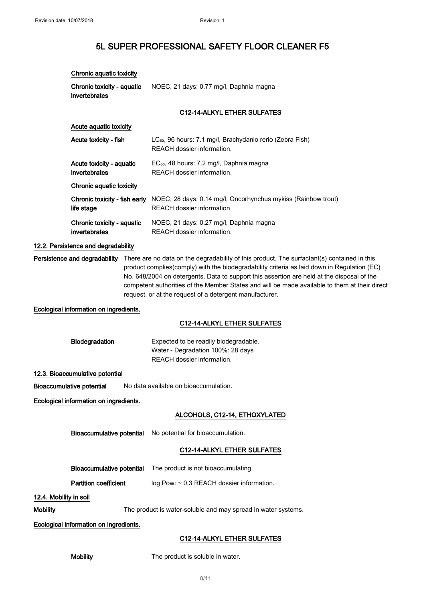Chronic aquatic toxicity

# 5L SUPER PROFESSIONAL SAFETY FLOOR CLEANER F5

|                                        | Chronic toxicity - aquatic<br>invertebrates                        |  | NOEC, 21 days: 0.77 mg/l, Daphnia magna                                                                                                                                                                                                                                                                                                                                                                                                                                            |
|----------------------------------------|--------------------------------------------------------------------|--|------------------------------------------------------------------------------------------------------------------------------------------------------------------------------------------------------------------------------------------------------------------------------------------------------------------------------------------------------------------------------------------------------------------------------------------------------------------------------------|
|                                        |                                                                    |  | C12-14-ALKYL ETHER SULFATES                                                                                                                                                                                                                                                                                                                                                                                                                                                        |
|                                        | Acute aquatic toxicity                                             |  |                                                                                                                                                                                                                                                                                                                                                                                                                                                                                    |
|                                        | Acute toxicity - fish<br>Acute toxicity - aquatic<br>invertebrates |  | LC <sub>50</sub> , 96 hours: 7.1 mg/l, Brachydanio rerio (Zebra Fish)<br>REACH dossier information.                                                                                                                                                                                                                                                                                                                                                                                |
|                                        |                                                                    |  | EC <sub>50</sub> , 48 hours: 7.2 mg/l, Daphnia magna<br>REACH dossier information.                                                                                                                                                                                                                                                                                                                                                                                                 |
|                                        | Chronic aquatic toxicity                                           |  |                                                                                                                                                                                                                                                                                                                                                                                                                                                                                    |
|                                        | Chronic toxicity - fish early<br>life stage                        |  | NOEC, 28 days: 0.14 mg/l, Oncorhynchus mykiss (Rainbow trout)<br>REACH dossier information.                                                                                                                                                                                                                                                                                                                                                                                        |
|                                        | Chronic toxicity - aquatic<br>invertebrates                        |  | NOEC, 21 days: 0.27 mg/l, Daphnia magna<br>REACH dossier information.                                                                                                                                                                                                                                                                                                                                                                                                              |
|                                        | 12.2. Persistence and degradability                                |  |                                                                                                                                                                                                                                                                                                                                                                                                                                                                                    |
|                                        |                                                                    |  | Persistence and degradability There are no data on the degradability of this product. The surfactant(s) contained in this<br>product complies(comply) with the biodegradability criteria as laid down in Regulation (EC)<br>No. 648/2004 on detergents. Data to support this assertion are held at the disposal of the<br>competent authorities of the Member States and will be made available to them at their direct<br>request, or at the request of a detergent manufacturer. |
|                                        | Ecological information on ingredients.                             |  |                                                                                                                                                                                                                                                                                                                                                                                                                                                                                    |
|                                        |                                                                    |  | C12-14-ALKYL ETHER SULFATES                                                                                                                                                                                                                                                                                                                                                                                                                                                        |
|                                        | Biodegradation                                                     |  | Expected to be readily biodegradable.<br>Water - Degradation 100%: 28 days<br>REACH dossier information.                                                                                                                                                                                                                                                                                                                                                                           |
|                                        | 12.3. Bioaccumulative potential                                    |  |                                                                                                                                                                                                                                                                                                                                                                                                                                                                                    |
|                                        | <b>Bioaccumulative potential</b>                                   |  | No data available on bioaccumulation.                                                                                                                                                                                                                                                                                                                                                                                                                                              |
|                                        | Ecological information on ingredients.                             |  |                                                                                                                                                                                                                                                                                                                                                                                                                                                                                    |
|                                        |                                                                    |  | ALCOHOLS, C12-14, ETHOXYLATED                                                                                                                                                                                                                                                                                                                                                                                                                                                      |
|                                        | <b>Bioaccumulative potential</b>                                   |  | No potential for bioaccumulation.                                                                                                                                                                                                                                                                                                                                                                                                                                                  |
|                                        |                                                                    |  | C12-14-ALKYL ETHER SULFATES                                                                                                                                                                                                                                                                                                                                                                                                                                                        |
|                                        | <b>Bioaccumulative potential</b>                                   |  | The product is not bioaccumulating.                                                                                                                                                                                                                                                                                                                                                                                                                                                |
| <b>Partition coefficient</b>           |                                                                    |  | log Pow: ~ 0.3 REACH dossier information.                                                                                                                                                                                                                                                                                                                                                                                                                                          |
| 12.4. Mobility in soil                 |                                                                    |  |                                                                                                                                                                                                                                                                                                                                                                                                                                                                                    |
| <b>Mobility</b>                        |                                                                    |  | The product is water-soluble and may spread in water systems.                                                                                                                                                                                                                                                                                                                                                                                                                      |
| Ecological information on ingredients. |                                                                    |  |                                                                                                                                                                                                                                                                                                                                                                                                                                                                                    |
|                                        |                                                                    |  | C12-14-ALKYL ETHER SULFATES                                                                                                                                                                                                                                                                                                                                                                                                                                                        |

Mobility The product is soluble in water.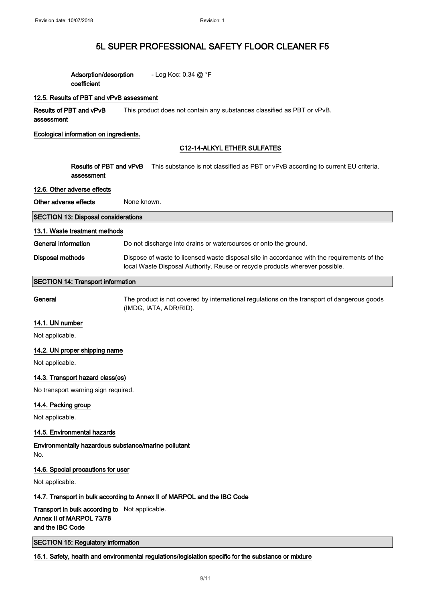| Adsorption/desorption | - Log Koc: $0.34 \textcircled{a} \degree$ F |
|-----------------------|---------------------------------------------|
| coefficient           |                                             |

### 12.5. Results of PBT and vPvB assessment

Results of PBT and vPvB assessment This product does not contain any substances classified as PBT or vPvB.

#### Ecological information on ingredients.

### C12-14-ALKYL ETHER SULFATES

Results of PBT and vPvB This substance is not classified as PBT or vPvB according to current EU criteria. assessment

#### 12.6. Other adverse effects

| Other adverse effects                      | None known.                                                                                                                                                                 |  |
|--------------------------------------------|-----------------------------------------------------------------------------------------------------------------------------------------------------------------------------|--|
| <b>SECTION 13: Disposal considerations</b> |                                                                                                                                                                             |  |
| 13.1. Waste treatment methods              |                                                                                                                                                                             |  |
| General information                        | Do not discharge into drains or watercourses or onto the ground.                                                                                                            |  |
| Disposal methods                           | Dispose of waste to licensed waste disposal site in accordance with the requirements of the<br>local Waste Disposal Authority. Reuse or recycle products wherever possible. |  |
| <b>SECTION 14: Transport information</b>   |                                                                                                                                                                             |  |

General The product is not covered by international regulations on the transport of dangerous goods (IMDG, IATA, ADR/RID).

#### 14.1. UN number

Not applicable.

### 14.2. UN proper shipping name

Not applicable.

### 14.3. Transport hazard class(es)

No transport warning sign required.

### 14.4. Packing group

Not applicable.

### 14.5. Environmental hazards

Environmentally hazardous substance/marine pollutant No.

#### 14.6. Special precautions for user

Not applicable.

### 14.7. Transport in bulk according to Annex II of MARPOL and the IBC Code

Transport in bulk according to Not applicable. Annex II of MARPOL 73/78 and the IBC Code

SECTION 15: Regulatory information

#### 15.1. Safety, health and environmental regulations/legislation specific for the substance or mixture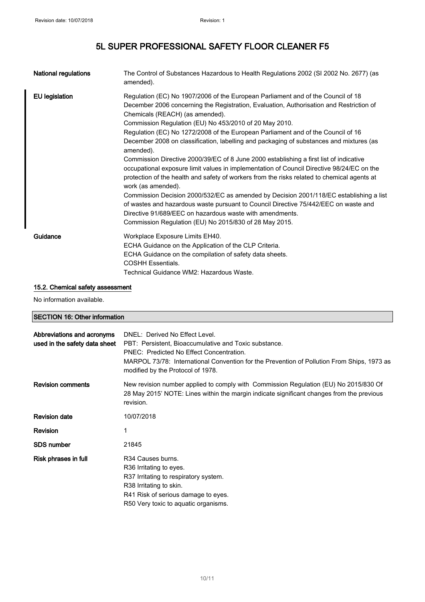| <b>National regulations</b> | The Control of Substances Hazardous to Health Regulations 2002 (SI 2002 No. 2677) (as<br>amended).                                                                                                                                                                                                                                                                                                                                                                                                                                                             |
|-----------------------------|----------------------------------------------------------------------------------------------------------------------------------------------------------------------------------------------------------------------------------------------------------------------------------------------------------------------------------------------------------------------------------------------------------------------------------------------------------------------------------------------------------------------------------------------------------------|
| <b>EU</b> legislation       | Regulation (EC) No 1907/2006 of the European Parliament and of the Council of 18<br>December 2006 concerning the Registration, Evaluation, Authorisation and Restriction of<br>Chemicals (REACH) (as amended).<br>Commission Regulation (EU) No 453/2010 of 20 May 2010.<br>Regulation (EC) No 1272/2008 of the European Parliament and of the Council of 16<br>December 2008 on classification, labelling and packaging of substances and mixtures (as<br>amended).<br>Commission Directive 2000/39/EC of 8 June 2000 establishing a first list of indicative |
|                             | occupational exposure limit values in implementation of Council Directive 98/24/EC on the<br>protection of the health and safety of workers from the risks related to chemical agents at<br>work (as amended).<br>Commission Decision 2000/532/EC as amended by Decision 2001/118/EC establishing a list<br>of wastes and hazardous waste pursuant to Council Directive 75/442/EEC on waste and<br>Directive 91/689/EEC on hazardous waste with amendments.                                                                                                    |
| Guidance                    | Commission Regulation (EU) No 2015/830 of 28 May 2015.<br>Workplace Exposure Limits EH40.<br>ECHA Guidance on the Application of the CLP Criteria.<br>ECHA Guidance on the compilation of safety data sheets.<br><b>COSHH Essentials.</b><br>Technical Guidance WM2: Hazardous Waste.                                                                                                                                                                                                                                                                          |

# 15.2. Chemical safety assessment

No information available.

### SECTION 16: Other information

| Abbreviations and acronyms<br>used in the safety data sheet | DNEL: Derived No Effect Level.<br>PBT: Persistent, Bioaccumulative and Toxic substance.<br>PNEC: Predicted No Effect Concentration.<br>MARPOL 73/78: International Convention for the Prevention of Pollution From Ships, 1973 as<br>modified by the Protocol of 1978. |
|-------------------------------------------------------------|------------------------------------------------------------------------------------------------------------------------------------------------------------------------------------------------------------------------------------------------------------------------|
| <b>Revision comments</b>                                    | New revision number applied to comply with Commission Regulation (EU) No 2015/830 Of<br>28 May 2015' NOTE: Lines within the margin indicate significant changes from the previous<br>revision.                                                                         |
| <b>Revision date</b>                                        | 10/07/2018                                                                                                                                                                                                                                                             |
| Revision                                                    |                                                                                                                                                                                                                                                                        |
| <b>SDS number</b>                                           | 21845                                                                                                                                                                                                                                                                  |
| Risk phrases in full                                        | R34 Causes burns.<br>R <sub>36</sub> Irritating to eyes.<br>R37 Irritating to respiratory system.<br>R38 Irritating to skin.<br>R41 Risk of serious damage to eyes.<br>R50 Very toxic to aquatic organisms.                                                            |